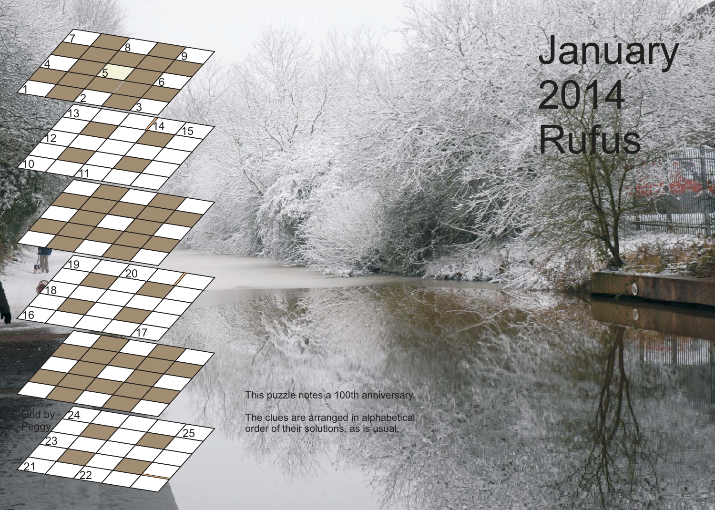## January 2014 Rufus

This puzzle notes a 100th anniversary.

1

210

216

 $\frac{1}{21}$ 

23

**Grid by** Peggy

218

4

12

2

13

<u>11</u>

19

ממֿ

 $24$ 

7

5

<u>3</u>

17

 $\mathfrak{S}^0$ 

8

ัธ

14

<u>ର</u>

15

 $25$ 

The clues are arranged in alphabetical order of their solutions, as is usual.